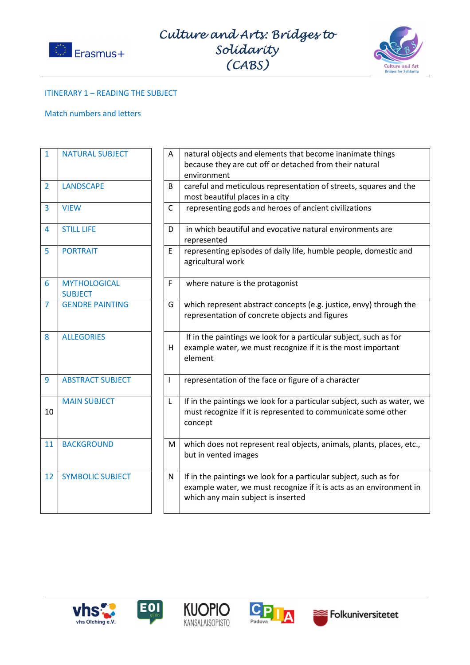



## ITINERARY 1 – READING THE SUBJECT

## Match numbers and letters

| $\mathbf{1}$   | <b>NATURAL SUBJECT</b>                | A            | natural objects and elements that become inanimate things<br>because they are cut off or detached from their natural<br>environment                                            |
|----------------|---------------------------------------|--------------|--------------------------------------------------------------------------------------------------------------------------------------------------------------------------------|
| $\overline{2}$ | <b>LANDSCAPE</b>                      | B            | careful and meticulous representation of streets, squares and the<br>most beautiful places in a city                                                                           |
| 3              | <b>VIEW</b>                           | $\mathsf{C}$ | representing gods and heroes of ancient civilizations                                                                                                                          |
| 4              | <b>STILL LIFE</b>                     | D            | in which beautiful and evocative natural environments are<br>represented                                                                                                       |
| 5              | <b>PORTRAIT</b>                       | E            | representing episodes of daily life, humble people, domestic and<br>agricultural work                                                                                          |
| 6              | <b>MYTHOLOGICAL</b><br><b>SUBJECT</b> | F            | where nature is the protagonist                                                                                                                                                |
| $\overline{7}$ | <b>GENDRE PAINTING</b>                | G            | which represent abstract concepts (e.g. justice, envy) through the<br>representation of concrete objects and figures                                                           |
| 8              | <b>ALLEGORIES</b>                     | Н            | If in the paintings we look for a particular subject, such as for<br>example water, we must recognize if it is the most important<br>element                                   |
| 9              | <b>ABSTRACT SUBJECT</b>               | ı            | representation of the face or figure of a character                                                                                                                            |
| 10             | <b>MAIN SUBJECT</b>                   | L            | If in the paintings we look for a particular subject, such as water, we<br>must recognize if it is represented to communicate some other<br>concept                            |
| 11             | <b>BACKGROUND</b>                     | M            | which does not represent real objects, animals, plants, places, etc.,<br>but in vented images                                                                                  |
| 12             | <b>SYMBOLIC SUBJECT</b>               | N            | If in the paintings we look for a particular subject, such as for<br>example water, we must recognize if it is acts as an environment in<br>which any main subject is inserted |